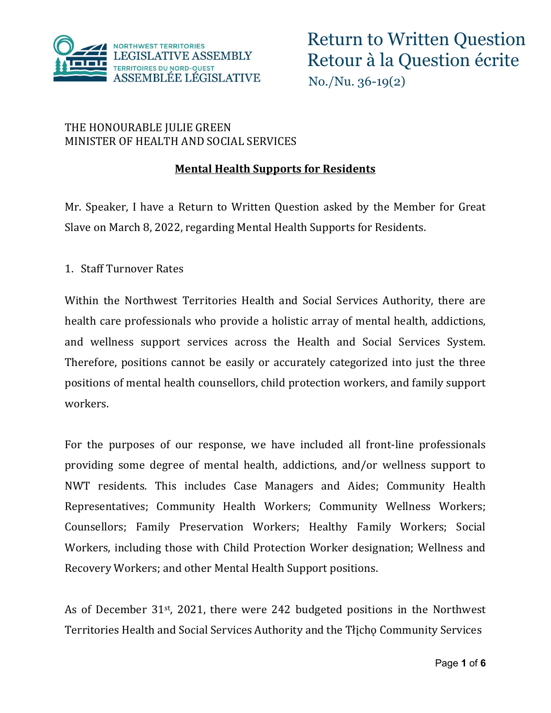

#### THE HONOURABLE JULIE GREEN MINISTER OF HEALTH AND SOCIAL SERVICES

### **Mental Health Supports for Residents**

Mr. Speaker, I have a Return to Written Question asked by the Member for Great Slave on March 8, 2022, regarding Mental Health Supports for Residents.

1. Staff Turnover Rates

Within the Northwest Territories Health and Social Services Authority, there are health care professionals who provide a holistic array of mental health, addictions, and wellness support services across the Health and Social Services System. Therefore, positions cannot be easily or accurately categorized into just the three positions of mental health counsellors, child protection workers, and family support workers.

For the purposes of our response, we have included all front-line professionals providing some degree of mental health, addictions, and/or wellness support to NWT residents. This includes Case Managers and Aides; Community Health Representatives; Community Health Workers; Community Wellness Workers; Counsellors; Family Preservation Workers; Healthy Family Workers; Social Workers, including those with Child Protection Worker designation; Wellness and Recovery Workers; and other Mental Health Support positions.

As of December 31st, 2021, there were 242 budgeted positions in the Northwest Territories Health and Social Services Authority and the Tłįchǫ Community Services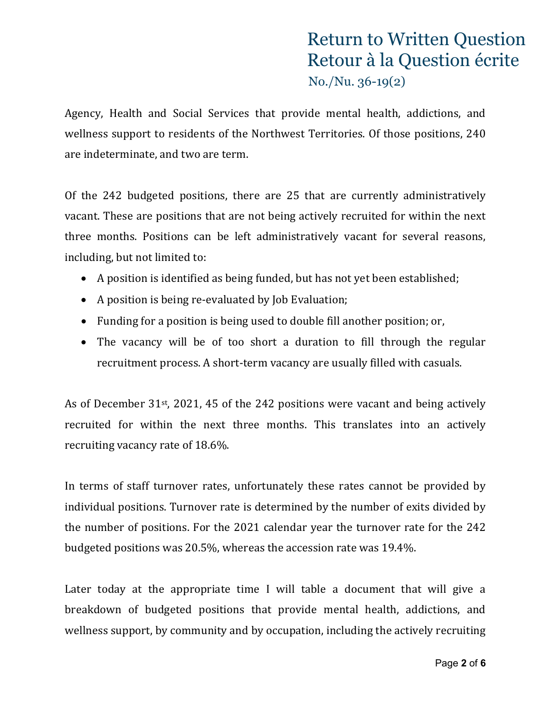Agency, Health and Social Services that provide mental health, addictions, and wellness support to residents of the Northwest Territories. Of those positions, 240 are indeterminate, and two are term.

Of the 242 budgeted positions, there are 25 that are currently administratively vacant. These are positions that are not being actively recruited for within the next three months. Positions can be left administratively vacant for several reasons, including, but not limited to:

- A position is identified as being funded, but has not yet been established;
- A position is being re-evaluated by Job Evaluation;
- Funding for a position is being used to double fill another position; or,
- The vacancy will be of too short a duration to fill through the regular recruitment process. A short-term vacancy are usually filled with casuals.

As of December 31st, 2021, 45 of the 242 positions were vacant and being actively recruited for within the next three months. This translates into an actively recruiting vacancy rate of 18.6%.

In terms of staff turnover rates, unfortunately these rates cannot be provided by individual positions. Turnover rate is determined by the number of exits divided by the number of positions. For the 2021 calendar year the turnover rate for the 242 budgeted positions was 20.5%, whereas the accession rate was 19.4%.

Later today at the appropriate time I will table a document that will give a breakdown of budgeted positions that provide mental health, addictions, and wellness support, by community and by occupation, including the actively recruiting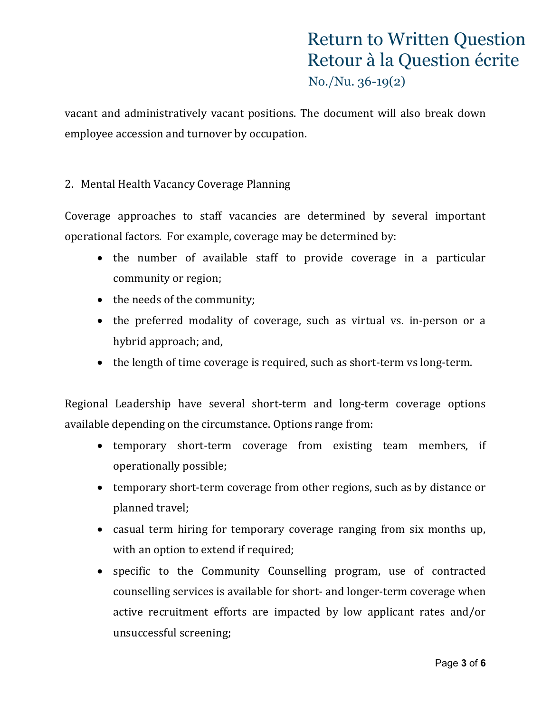vacant and administratively vacant positions. The document will also break down employee accession and turnover by occupation.

#### 2. Mental Health Vacancy Coverage Planning

Coverage approaches to staff vacancies are determined by several important operational factors. For example, coverage may be determined by:

- the number of available staff to provide coverage in a particular community or region;
- the needs of the community;
- the preferred modality of coverage, such as virtual vs. in-person or a hybrid approach; and,
- the length of time coverage is required, such as short-term vs long-term.

Regional Leadership have several short-term and long-term coverage options available depending on the circumstance. Options range from:

- temporary short-term coverage from existing team members, if operationally possible;
- temporary short-term coverage from other regions, such as by distance or planned travel;
- casual term hiring for temporary coverage ranging from six months up, with an option to extend if required;
- specific to the Community Counselling program, use of contracted counselling services is available for short- and longer-term coverage when active recruitment efforts are impacted by low applicant rates and/or unsuccessful screening;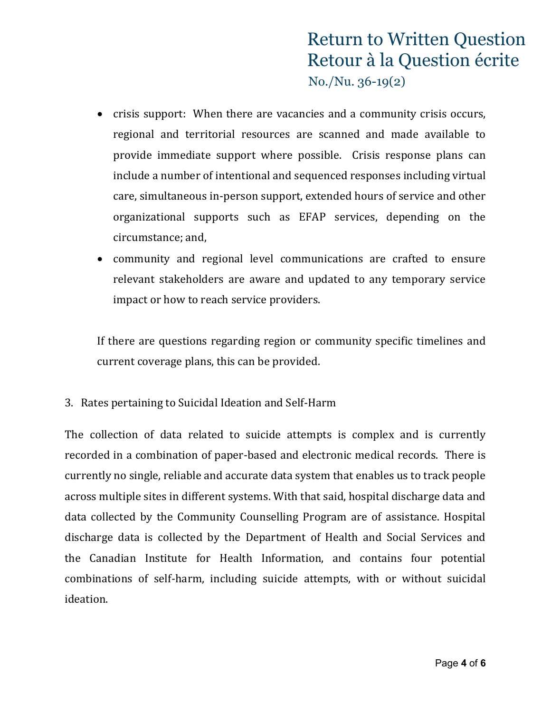- crisis support: When there are vacancies and a community crisis occurs, regional and territorial resources are scanned and made available to provide immediate support where possible. Crisis response plans can include a number of intentional and sequenced responses including virtual care, simultaneous in-person support, extended hours of service and other organizational supports such as EFAP services, depending on the circumstance; and,
- community and regional level communications are crafted to ensure relevant stakeholders are aware and updated to any temporary service impact or how to reach service providers.

If there are questions regarding region or community specific timelines and current coverage plans, this can be provided.

3. Rates pertaining to Suicidal Ideation and Self-Harm

The collection of data related to suicide attempts is complex and is currently recorded in a combination of paper-based and electronic medical records. There is currently no single, reliable and accurate data system that enables us to track people across multiple sites in different systems. With that said, hospital discharge data and data collected by the Community Counselling Program are of assistance. Hospital discharge data is collected by the Department of Health and Social Services and the Canadian Institute for Health Information, and contains four potential combinations of self-harm, including suicide attempts, with or without suicidal ideation.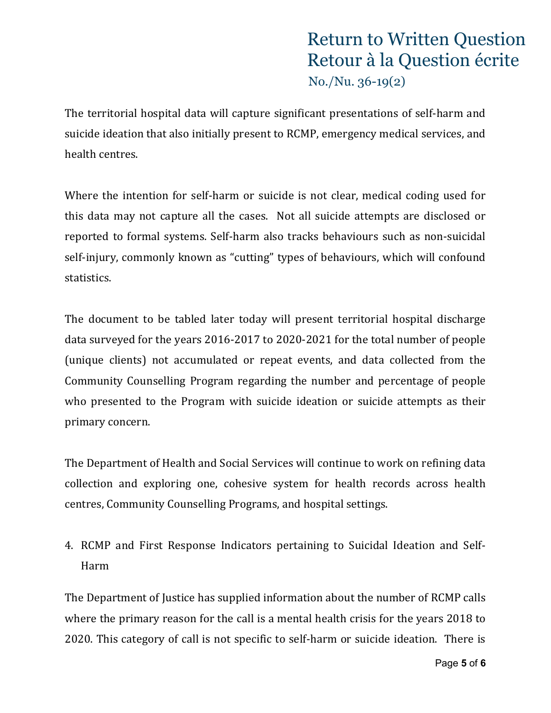The territorial hospital data will capture significant presentations of self-harm and suicide ideation that also initially present to RCMP, emergency medical services, and health centres.

Where the intention for self-harm or suicide is not clear, medical coding used for this data may not capture all the cases. Not all suicide attempts are disclosed or reported to formal systems. Self-harm also tracks behaviours such as non-suicidal self-injury, commonly known as "cutting" types of behaviours, which will confound statistics.

The document to be tabled later today will present territorial hospital discharge data surveyed for the years 2016-2017 to 2020-2021 for the total number of people (unique clients) not accumulated or repeat events, and data collected from the Community Counselling Program regarding the number and percentage of people who presented to the Program with suicide ideation or suicide attempts as their primary concern.

The Department of Health and Social Services will continue to work on refining data collection and exploring one, cohesive system for health records across health centres, Community Counselling Programs, and hospital settings.

4. RCMP and First Response Indicators pertaining to Suicidal Ideation and Self-Harm

The Department of Justice has supplied information about the number of RCMP calls where the primary reason for the call is a mental health crisis for the years 2018 to 2020. This category of call is not specific to self-harm or suicide ideation. There is